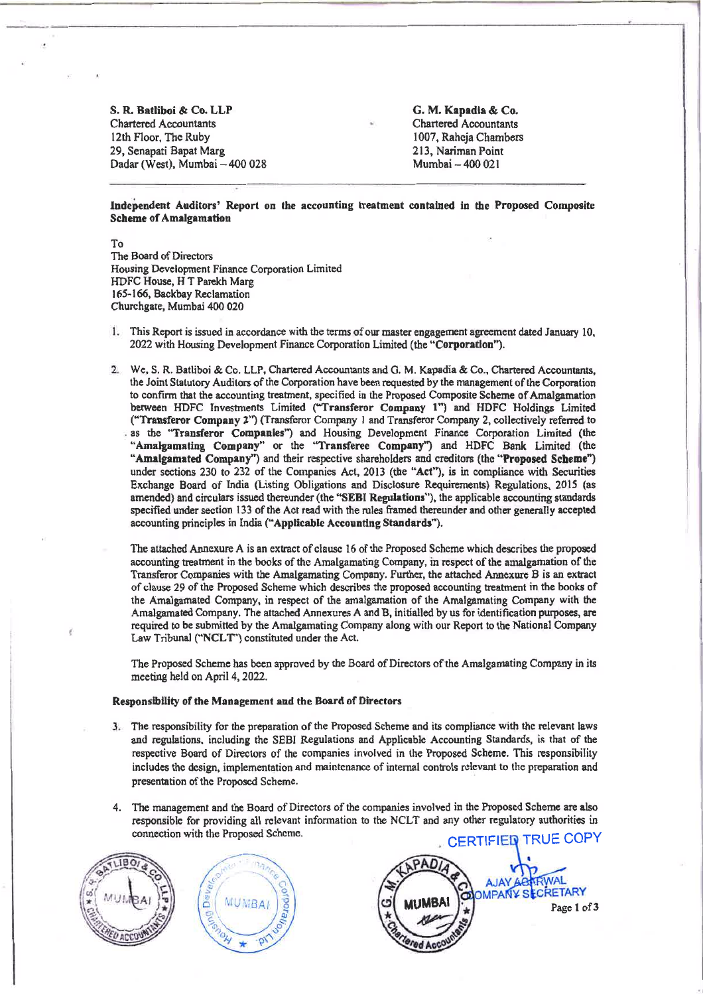S. R. Batliboi & Co. LLP **Chartered Accountants** 12th Floor, The Ruby 29, Senapati Bapat Marg Dadar (West), Mumbai - 400 028 G. M. Kapadia & Co. **Chartered Accountants** 1007, Raheja Chambers 213, Nariman Point Mumbai - 400 021

Independent Auditors' Report on the accounting treatment contained in the Proposed Composite **Scheme of Amalgamation** 

To The Board of Directors Housing Development Finance Corporation Limited HDFC House, H T Parekh Marg 165-166, Backbay Reclamation Churchgate, Mumbai 400 020

- 1. This Report is issued in accordance with the terms of our master engagement agreement dated January 10. 2022 with Housing Development Finance Corporation Limited (the "Corporation").
- 2. We, S. R. Batliboi & Co. LLP, Chartered Accountants and G. M. Kapadia & Co., Chartered Accountants. the Joint Statutory Auditors of the Corporation have been requested by the management of the Corporation to confirm that the accounting treatment, specified in the Proposed Composite Scheme of Amalgamation between HDFC Investments Limited ("Transferor Company 1") and HDFC Holdings Limited ("Transferor Company 2") (Transferor Company 1 and Transferor Company 2, collectively referred to as the "Transferor Companies") and Housing Development Finance Corporation Limited (the "Amalgamating Company" or the "Transferee Company") and HDFC Bank Limited (the "Amalgamated Company") and their respective shareholders and creditors (the "Proposed Scheme") under sections 230 to 232 of the Companies Act, 2013 (the "Act"), is in compliance with Securities Exchange Board of India (Listing Obligations and Disclosure Requirements) Regulations, 2015 (as amended) and circulars issued thereunder (the "SEBI Regulations"), the applicable accounting standards specified under section 133 of the Act read with the rules framed thereunder and other generally accepted accounting principles in India ("Applicable Accounting Standards").
	- The attached Annexure A is an extract of clause 16 of the Proposed Scheme which describes the proposed accounting treatment in the books of the Amalgamating Company, in respect of the amalgamation of the Transferor Companies with the Amalgamating Company. Further, the attached Annexure B is an extract of clause 29 of the Proposed Scheme which describes the proposed accounting treatment in the books of the Amalgamated Company, in respect of the amalgamation of the Amalgamating Company with the Amalgamated Company. The attached Annexures A and B, initialled by us for identification purposes, are required to be submitted by the Amalgamating Company along with our Report to the National Company Law Tribunal ("NCLT") constituted under the Act.

The Proposed Scheme has been approved by the Board of Directors of the Amalgamating Company in its meeting held on April 4, 2022.

## Responsibility of the Management and the Board of Directors

- 3. The responsibility for the preparation of the Proposed Scheme and its compliance with the relevant laws and regulations, including the SEBI Regulations and Applicable Accounting Standards, is that of the respective Board of Directors of the companies involved in the Proposed Scheme. This responsibility includes the design, implementation and maintenance of internal controls relevant to the preparation and presentation of the Proposed Scheme.
- 4. The management and the Board of Directors of the companies involved in the Proposed Scheme are also responsible for providing all relevant information to the NCLT and any other regulatory authorities in connection with the Proposed Scheme.





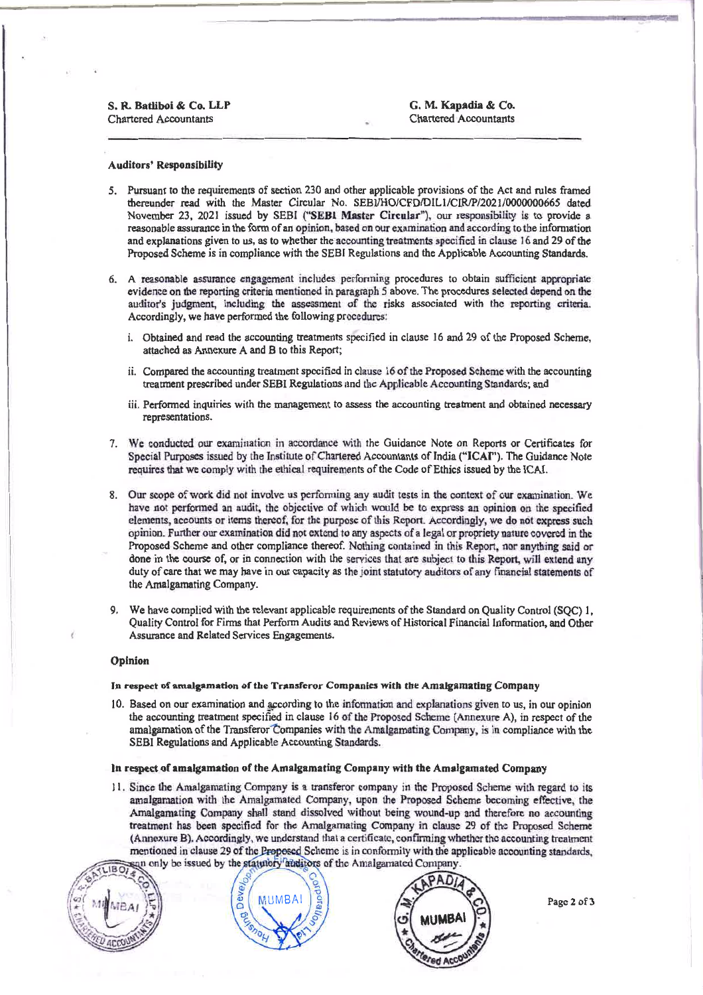S. R. Batliboi & Co. LLP **Chartered Accountants** 

G. M. Kapadia & Co. **Chartered Accountants** 

## **Auditors' Responsibility**

- 5. Pursuant to the requirements of section 230 and other applicable provisions of the Act and rules framed thereunder read with the Master Circular No. SEBJ/HO/CFD/DIL1/CIR/P/2021/0000000665 dated November 23, 2021 issued by SEBI ("SEBI Master Circular"), our responsibility is to provide a reasonable assurance in the form of an opinion, based on our examination and according to the information and explanations given to us, as to whether the accounting treatments specified in clause 16 and 29 of the Proposed Scheme is in compliance with the SEBI Regulations and the Applicable Accounting Standards.
- 6. A reasonable assurance engagement includes performing procedures to obtain sufficient appropriate evidence on the reporting criteria mentioned in paragraph 5 above. The procedures selected depend on the auditor's judgment, including the assessment of the risks associated with the reporting criteria. Accordingly, we have performed the following procedures:
	- i. Obtained and read the accounting treatments specified in clause 16 and 29 of the Proposed Scheme, attached as Annexure A and B to this Report;
	- ii. Compared the accounting treatment specified in clause 16 of the Proposed Scheme with the accounting treatment prescribed under SEBI Regulations and the Applicable Accounting Standards; and
	- iii. Performed inquiries with the management to assess the accounting treatment and obtained necessary representations.
- 7. We conducted our examination in accordance with the Guidance Note on Reports or Certificates for Special Purposes issued by the Institute of Chartered Accountants of India ("ICAI"). The Guidance Note requires that we comply with the ethical requirements of the Code of Ethics issued by the ICAI.
- 8. Our scope of work did not involve us performing any audit tests in the context of our examination. We have not performed an audit, the objective of which would be to express an opinion on the specified elements, accounts or items thereof, for the purpose of this Report. Accordingly, we do not express such opinion. Further our examination did not extend to any aspects of a legal or propriety nature covered in the Proposed Scheme and other compliance thereof. Nothing contained in this Report, nor anything said or done in the course of, or in connection with the services that are subject to this Report, will extend any duty of care that we may have in our capacity as the joint statutory auditors of any financial statements of the Amalgamating Company.
- 9. We have complied with the relevant applicable requirements of the Standard on Quality Control (SQC) 1. Quality Control for Firms that Perform Audits and Reviews of Historical Financial Information, and Other Assurance and Related Services Engagements.

#### Opinion

#### In respect of amalgamation of the Transferor Companies with the Amalgamating Company

10. Based on our examination and according to the information and explanations given to us, in our opinion the accounting treatment specified in clause 16 of the Proposed Scheme (Annexure A), in respect of the amalgamation of the Transferor Companies with the Amalgamating Company, is in compliance with the SEBI Regulations and Applicable Accounting Standards.

### In respect of amalgamation of the Amalgamating Company with the Amalgamated Company

11. Since the Amalgamating Company is a transferor company in the Proposed Scheme with regard to its amalgamation with the Amalgamated Company, upon the Proposed Scheme becoming effective, the Amalgamating Company shall stand dissolved without being wound-up and therefore no accounting treatment has been specified for the Amalgamating Company in clause 29 of the Proposed Scheme (Annexure B). Accordingly, we understand that a certificate, confirming whether the accounting treatment mentioned in clause 29 of the Proposed Scheme is in conformity with the applicable accounting standards, in only be issued by the statutory auditors of the Amalgamated Company.







Page 2 of 3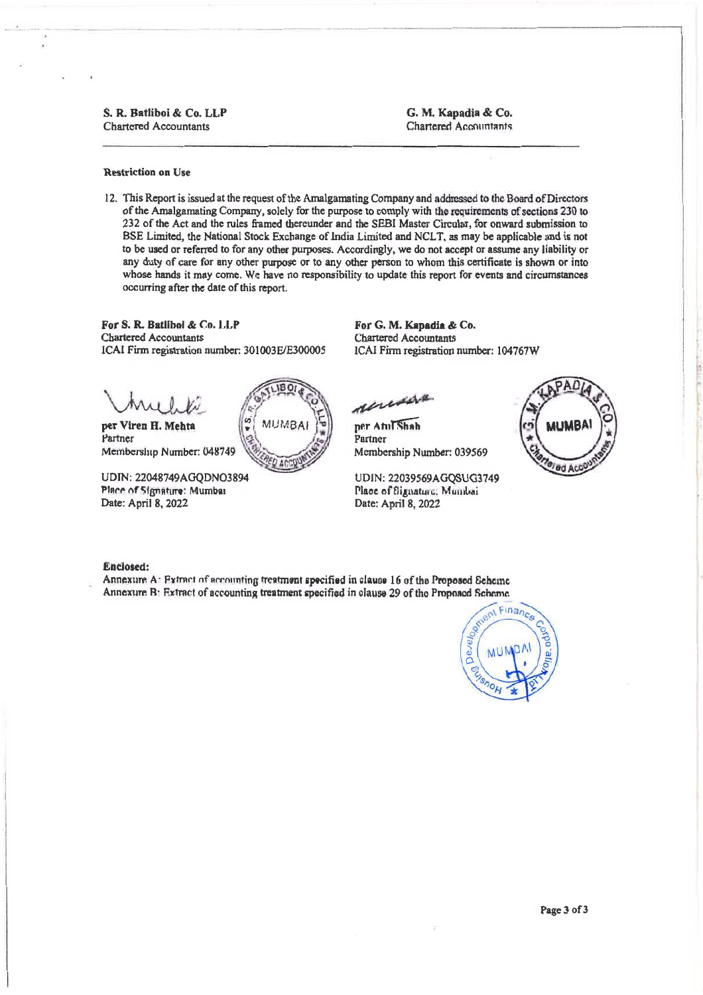## S. R. Batliboi & Co. LLP **Chartered Accountants**

G. M. Kapadia & Co. Chartered Accountants

### **Restriction on Use**

12. This Report is issued at the request of the Amalgamating Company and addressed to the Board of Directors of the Amalgamating Company, solely for the purpose to comply with the requirements of sections 230 to 232 of the Act and the rules framed thereunder and the SEBI Master Circular, for onward submission to BSE Limited, the National Stock Exchange of India Limited and NCLT, as may be applicable and is not to be used or referred to for any other purposes. Accordingly, we do not accept or assume any liability or any duty of care for any other purpose or to any other person to whom this certificate is shown or into whose hands it may come. We have no responsibility to update this report for events and circumstances occurring after the date of this report.

For S. R. Batliboi & Co. LLP **Chartered Accountants** ICAI Firm registration number: 301003E/E300005

per Viren H. Mehta Partner Membership Number: 048749

UDIN: 22048749AGODNO3894 Place of Signature: Mumbai Date: April 8, 2022



For G. M. Kapadia & Co. **Chartered Accountants** ICAI Firm registration number: 104767W

unsa

per AmTShah Partner Membership Number: 039569

UDIN: 22039569AGOSUG3749 Place of Signature: Municai Date: April 8, 2022



#### Enclosed:

Annexure A: Extract of accounting treatment specified in clause 16 of the Proposed Scheme Annexure B: Extract of accounting treatment specified in clause 29 of the Proposed Scheme.

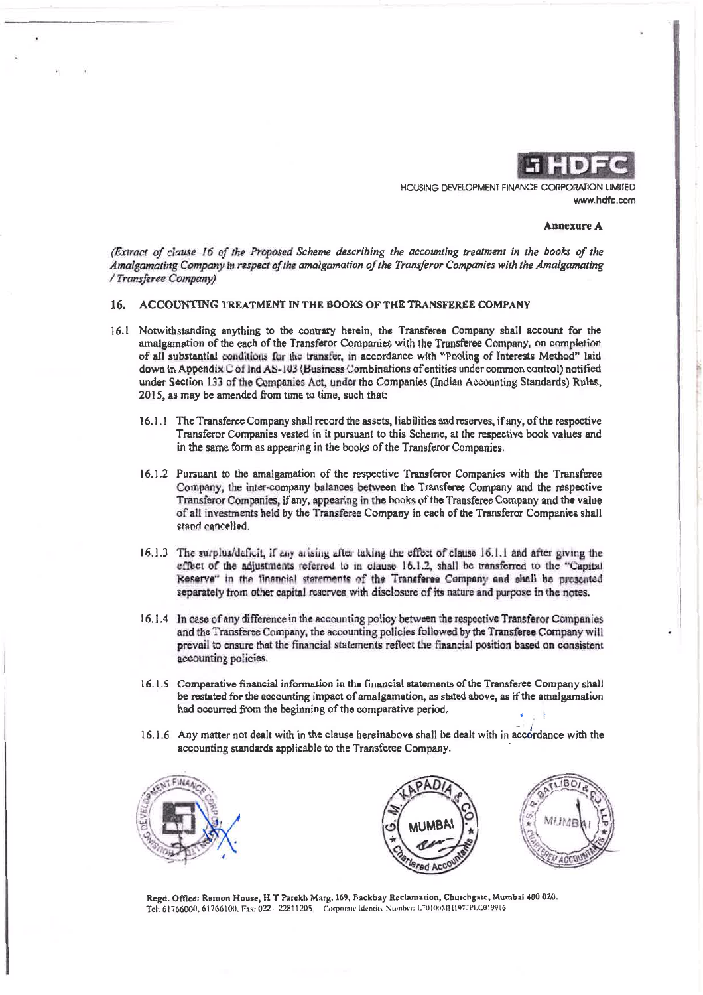

HOUSING DEVELOPMENT FINANCE CORPORATION LIMITED www.hdfc.com

### **Annexure A**

(Extract of clause 16 of the Proposed Scheme describing the accounting treatment in the books of the Amalgamating Company in respect of the amalgamation of the Transferor Companies with the Amalgamating / Transferee Company)

### 16. ACCOUNTING TREATMENT IN THE BOOKS OF THE TRANSFEREE COMPANY

- 16.1 Notwithstanding anything to the contrary herein, the Transferee Company shall account for the amalgamation of the each of the Transferor Companies with the Transferee Company, on completion of all substantial conditions for the transfer, in accordance with "Pooling of Interests Method" laid down in Appendix C of Ind AS-103 (Business Combinations of entities under common control) notified under Section 133 of the Companies Act, under the Companies (Indian Accounting Standards) Rules, 2015, as may be amended from time to time, such that:
	- 16.1.1 The Transferee Company shall record the assets, liabilities and reserves, if any, of the respective Transferor Companies vested in it pursuant to this Scheme, at the respective book values and in the same form as appearing in the books of the Transferor Companies.
	- 16.1.2 Pursuant to the amalgamation of the respective Transferor Companies with the Transferee Company, the inter-company balances between the Transferee Company and the respective Transferor Companies, if any, appearing in the books of the Transferee Company and the value of all investments held by the Transferee Company in each of the Transferor Companies shall stand cancelled.
	- 16.1.3 The surplus/deficit, if any arising after taking the effect of clause 16.1.1 and after giving the effect of the adjustments referred to in clause 16.1.2, shall be transferred to the "Capital Reserve" in the financial statements of the Transferee Company and shall be prosonted separately from other capital reserves with disclosure of its nature and purpose in the notes.
	- 16.1.4 In case of any difference in the accounting policy between the respective Transferor Companies and the Transferee Company, the accounting policies followed by the Transferee Company will prevail to ensure that the financial statements reflect the financial position based on consistent accounting policies.
	- 16.1.5 Comparative financial information in the financial statements of the Transferee Company shall be restated for the accounting impact of amalgamation, as stated above, as if the amalgamation had occurred from the beginning of the comparative period.
	- 16.1.6 Any matter not dealt with in the clause hereinabove shall be dealt with in accordance with the accounting standards applicable to the Transferee Company.







Regd. Office: Ramon House, H T Parekh Marg, 169, Backbay Reclamation, Churchgate, Mumbai 400 020. Tel: 61766000, 61766100, Fas: 022 - 22811205 Corporate Identity Number: L70100MH1977PLC019916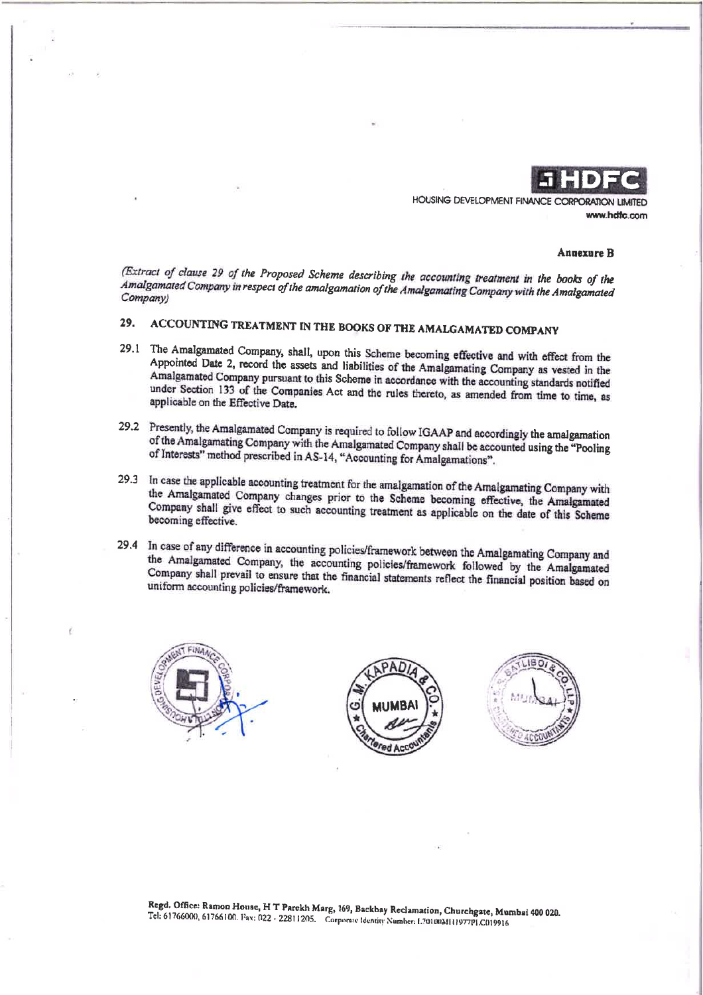

HOUSING DEVELOPMENT FINANCE CORPORATION LIMITED www.hdfc.com

#### **Annexure B**

(Extract of clause 29 of the Proposed Scheme describing the accounting treatment in the books of the Amalgamated Company in respect of the amalgamation of the Amalgamating Company with the Amalgamated Company)

#### ACCOUNTING TREATMENT IN THE BOOKS OF THE AMALGAMATED COMPANY 29.

- 29.1 The Amalgamated Company, shall, upon this Scheme becoming effective and with effect from the Appointed Date 2, record the assets and liabilities of the Amalgamating Company as vested in the Amalgamated Company pursuant to this Scheme in accordance with the accounting standards notified under Section 133 of the Companies Act and the rules thereto, as amended from time to time, as applicable on the Effective Date.
- 29.2 Presently, the Amalgamated Company is required to follow IGAAP and accordingly the amalgamation of the Amalgamating Company with the Amalgamated Company shall be accounted using the "Pooling of Interests" method prescribed in AS-14, "Accounting for Amalgamations".
- 29.3 In case the applicable accounting treatment for the amalgamation of the Amalgamating Company with the Amalgamated Company changes prior to the Scheme becoming effective, the Amalgamated Company shall give effect to such accounting treatment as applicable on the date of this Scheme becoming effective.
- 29.4 In case of any difference in accounting policies/framework between the Amalgamating Company and the Amalgamated Company, the accounting policies/framework followed by the Amalgamated Company shall prevail to ensure that the financial statements reflect the financial position based on uniform accounting policies/framework.







Regd. Office: Ramon House, H T Parekh Marg, 169, Backbay Reclamation, Churchgate, Mumbai 400 020. Tel. 61766000, 61766100. Fax: 022 - 22811205. Corporate Identity Number: 1.7010031111977PLC019916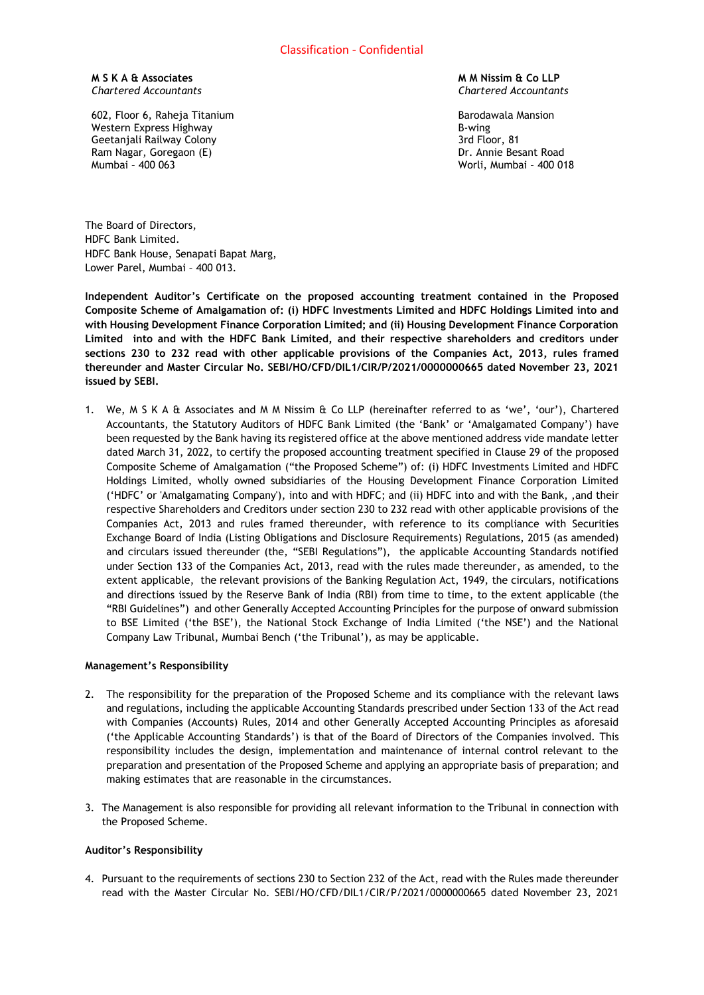**M S K A & Associates** *Chartered Accountants*

602, Floor 6, Raheja Titanium Western Express Highway Geetanjali Railway Colony Ram Nagar, Goregaon (E) Mumbai – 400 063

## **M M Nissim & Co LLP** *Chartered Accountants*

Barodawala Mansion B-wing 3rd Floor, 81 Dr. Annie Besant Road Worli, Mumbai – 400 018

The Board of Directors, HDFC Bank Limited. HDFC Bank House, Senapati Bapat Marg, Lower Parel, Mumbai – 400 013.

**Independent Auditor's Certificate on the proposed accounting treatment contained in the Proposed Composite Scheme of Amalgamation of: (i) HDFC Investments Limited and HDFC Holdings Limited into and with Housing Development Finance Corporation Limited; and (ii) Housing Development Finance Corporation Limited into and with the HDFC Bank Limited, and their respective shareholders and creditors under sections 230 to 232 read with other applicable provisions of the Companies Act, 2013, rules framed thereunder and Master Circular No. SEBI/HO/CFD/DIL1/CIR/P/2021/0000000665 dated November 23, 2021 issued by SEBI.**

1. We, M S K A & Associates and M M Nissim & Co LLP (hereinafter referred to as 'we', 'our'), Chartered Accountants, the Statutory Auditors of HDFC Bank Limited (the 'Bank' or 'Amalgamated Company') have been requested by the Bank having its registered office at the above mentioned address vide mandate letter dated March 31, 2022, to certify the proposed accounting treatment specified in Clause 29 of the proposed Composite Scheme of Amalgamation ("the Proposed Scheme") of: (i) HDFC Investments Limited and HDFC Holdings Limited, wholly owned subsidiaries of the Housing Development Finance Corporation Limited ('HDFC' or 'Amalgamating Company'), into and with HDFC; and (ii) HDFC into and with the Bank, ,and their respective Shareholders and Creditors under section 230 to 232 read with other applicable provisions of the Companies Act, 2013 and rules framed thereunder, with reference to its compliance with Securities Exchange Board of India (Listing Obligations and Disclosure Requirements) Regulations, 2015 (as amended) and circulars issued thereunder (the, "SEBI Regulations"), the applicable Accounting Standards notified under Section 133 of the Companies Act, 2013, read with the rules made thereunder, as amended, to the extent applicable, the relevant provisions of the Banking Regulation Act, 1949, the circulars, notifications and directions issued by the Reserve Bank of India (RBI) from time to time, to the extent applicable (the "RBI Guidelines") and other Generally Accepted Accounting Principles for the purpose of onward submission to BSE Limited ('the BSE'), the National Stock Exchange of India Limited ('the NSE') and the National Company Law Tribunal, Mumbai Bench ('the Tribunal'), as may be applicable.

# **Management's Responsibility**

- 2. The responsibility for the preparation of the Proposed Scheme and its compliance with the relevant laws and regulations, including the applicable Accounting Standards prescribed under Section 133 of the Act read with Companies (Accounts) Rules, 2014 and other Generally Accepted Accounting Principles as aforesaid ('the Applicable Accounting Standards') is that of the Board of Directors of the Companies involved. This responsibility includes the design, implementation and maintenance of internal control relevant to the preparation and presentation of the Proposed Scheme and applying an appropriate basis of preparation; and making estimates that are reasonable in the circumstances.
- 3. The Management is also responsible for providing all relevant information to the Tribunal in connection with the Proposed Scheme.

# **Auditor's Responsibility**

4. Pursuant to the requirements of sections 230 to Section 232 of the Act, read with the Rules made thereunder read with the Master Circular No. SEBI/HO/CFD/DIL1/CIR/P/2021/0000000665 dated November 23, 2021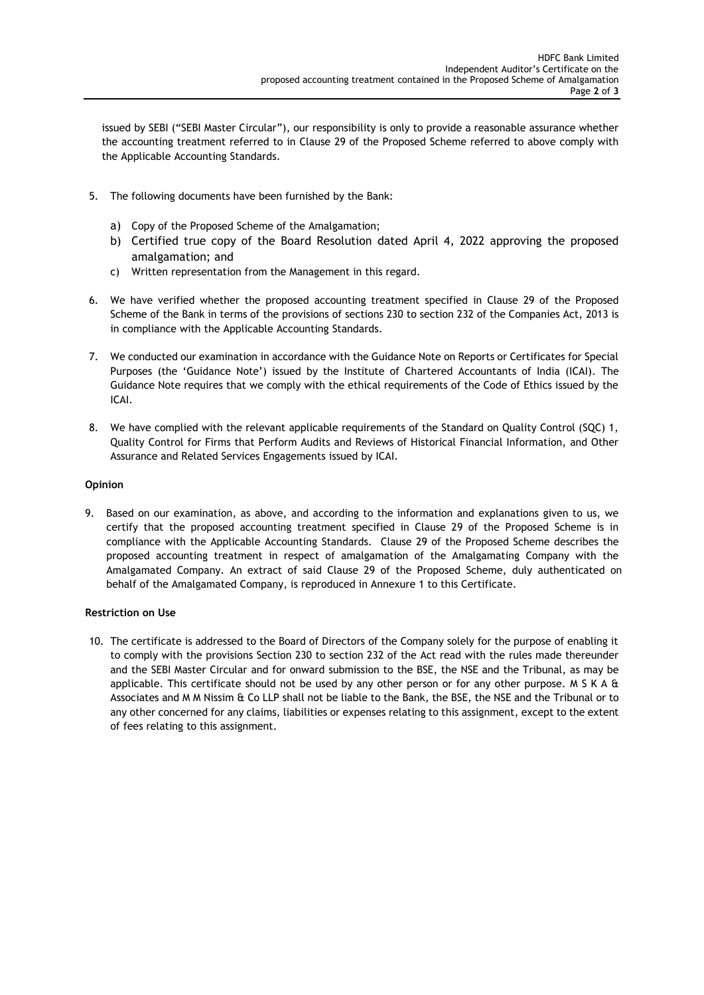issued by SEBI ("SEBI Master Circular"), our responsibility is only to provide a reasonable assurance whether the accounting treatment referred to in Clause 29 of the Proposed Scheme referred to above comply with the Applicable Accounting Standards.

- 5. The following documents have been furnished by the Bank:
	- a) Copy of the Proposed Scheme of the Amalgamation;
	- b) Certified true copy of the Board Resolution dated April 4, 2022 approving the proposed amalgamation; and
	- c) Written representation from the Management in this regard.
- 6. We have verified whether the proposed accounting treatment specified in Clause 29 of the Proposed Scheme of the Bank in terms of the provisions of sections 230 to section 232 of the Companies Act, 2013 is in compliance with the Applicable Accounting Standards.
- 7. We conducted our examination in accordance with the Guidance Note on Reports or Certificates for Special Purposes (the 'Guidance Note') issued by the Institute of Chartered Accountants of India (ICAI). The Guidance Note requires that we comply with the ethical requirements of the Code of Ethics issued by the ICAI.
- 8. We have complied with the relevant applicable requirements of the Standard on Quality Control (SQC) 1, Quality Control for Firms that Perform Audits and Reviews of Historical Financial Information, and Other Assurance and Related Services Engagements issued by ICAI.

# **Opinion**

9. Based on our examination, as above, and according to the information and explanations given to us, we certify that the proposed accounting treatment specified in Clause 29 of the Proposed Scheme is in compliance with the Applicable Accounting Standards. Clause 29 of the Proposed Scheme describes the proposed accounting treatment in respect of amalgamation of the Amalgamating Company with the Amalgamated Company. An extract of said Clause 29 of the Proposed Scheme, duly authenticated on behalf of the Amalgamated Company, is reproduced in Annexure 1 to this Certificate.

# **Restriction on Use**

10. The certificate is addressed to the Board of Directors of the Company solely for the purpose of enabling it to comply with the provisions Section 230 to section 232 of the Act read with the rules made thereunder and the SEBI Master Circular and for onward submission to the BSE, the NSE and the Tribunal, as may be applicable. This certificate should not be used by any other person or for any other purpose. M S K A  $\&$ Associates and M M Nissim & Co LLP shall not be liable to the Bank, the BSE, the NSE and the Tribunal or to any other concerned for any claims, liabilities or expenses relating to this assignment, except to the extent of fees relating to this assignment.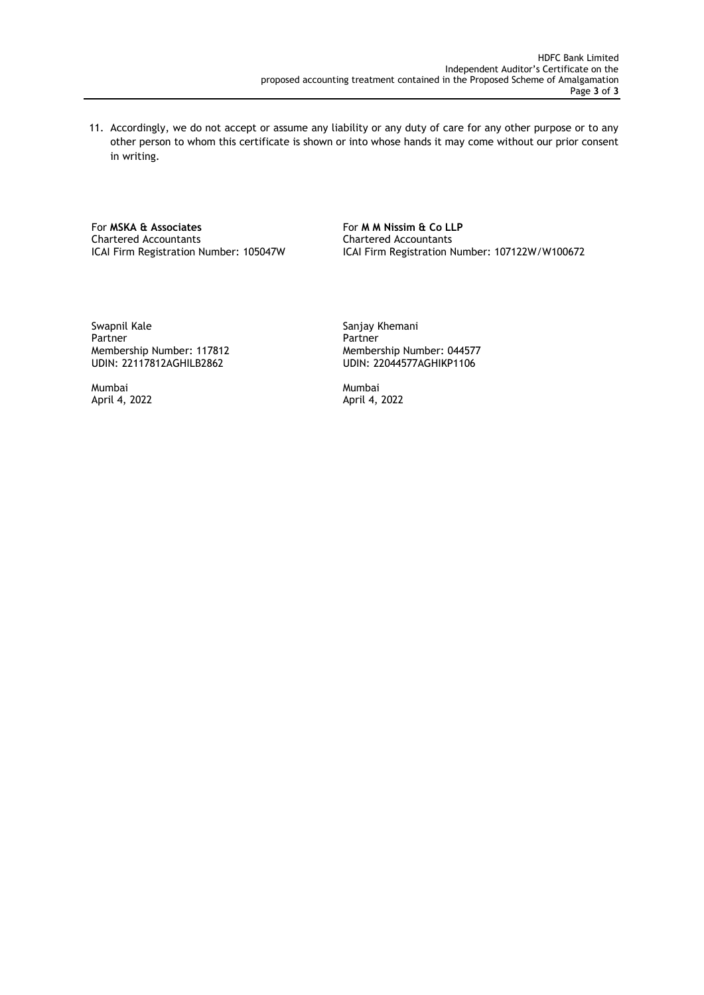11. Accordingly, we do not accept or assume any liability or any duty of care for any other purpose or to any other person to whom this certificate is shown or into whose hands it may come without our prior consent in writing.

For **MSKA & Associates** For **M M Nissim & Co LLP**<br>
Chartered Accountants Chartered Accountants Chartered Accountants Chartered Accountants

ICAI Firm Registration Number: 105047W ICAI Firm Registration Number: 107122W/W100672

Swapnil Kale Swapnil Kale Sanjay Khemani Partner<br>
Membership Number: 117812 Membership Number: 044577 Membership Number: 117812<br>UDIN: 22117812AGHILB2862

UDIN: 22044577AGHIKP1106

Mumbai Mumbai April 4, 2022